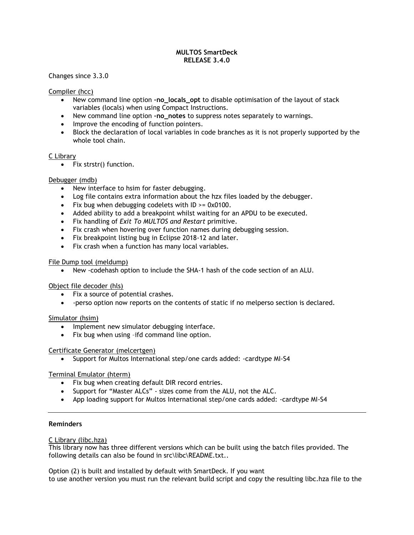## **MULTOS SmartDeck RELEASE 3.4.0**

Changes since 3.3.0

# Compiler (hcc)

- New command line option **–no\_locals\_opt** to disable optimisation of the layout of stack variables (locals) when using Compact Instructions.
- New command line option -no notes to suppress notes separately to warnings.
- Improve the encoding of function pointers.
- Block the declaration of local variables in code branches as it is not properly supported by the whole tool chain.

## C Library

 $\bullet$  Fix strstr() function.

## Debugger (mdb)

- New interface to hsim for faster debugging.
- Log file contains extra information about the hzx files loaded by the debugger.
- Fix bug when debugging codelets with  $ID \ge 0x0100$ .
- Added ability to add a breakpoint whilst waiting for an APDU to be executed.
- Fix handling of *Exit To MULTOS and Restart* primitive.
- Fix crash when hovering over function names during debugging session.
- Fix breakpoint listing bug in Eclipse 2018-12 and later.
- Fix crash when a function has many local variables.

## File Dump tool (meldump)

New -codehash option to include the SHA-1 hash of the code section of an ALU.

#### Object file decoder (hls)

- Fix a source of potential crashes.
- -perso option now reports on the contents of static if no melperso section is declared.

#### Simulator (hsim)

- Implement new simulator debugging interface.
- Fix bug when using -ifd command line option.

#### Certificate Generator (melcertgen)

• Support for Multos International step/one cards added: -cardtype MI-S4

# Terminal Emulator (hterm)

- Fix bug when creating default DIR record entries.
- Support for "Master ALCs" sizes come from the ALU, not the ALC.
- App loading support for Multos International step/one cards added: -cardtype MI-S4

## **Reminders**

C Library (libc.hza)

This library now has three different versions which can be built using the batch files provided. The following details can also be found in src\libc\README.txt..

Option (2) is built and installed by default with SmartDeck. If you want to use another version you must run the relevant build script and copy the resulting libc.hza file to the